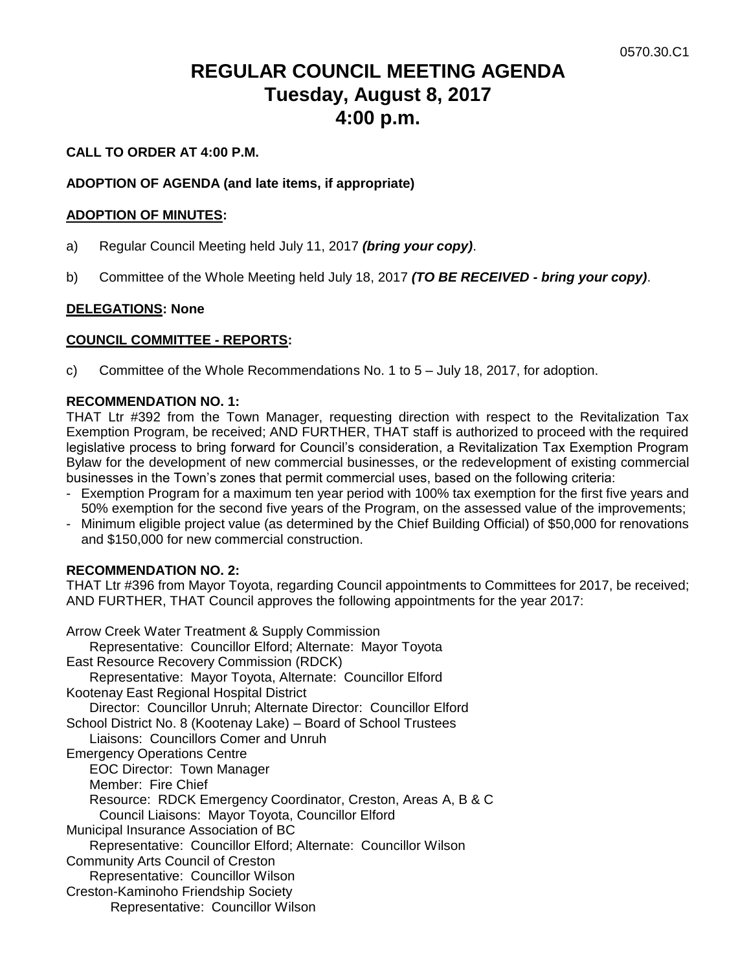# **REGULAR COUNCIL MEETING AGENDA Tuesday, August 8, 2017 4:00 p.m.**

## **CALL TO ORDER AT 4:00 P.M.**

### **ADOPTION OF AGENDA (and late items, if appropriate)**

#### **ADOPTION OF MINUTES:**

- a) Regular Council Meeting held July 11, 2017 *(bring your copy)*.
- b) Committee of the Whole Meeting held July 18, 2017 *(TO BE RECEIVED - bring your copy)*.

### **DELEGATIONS: None**

### **COUNCIL COMMITTEE - REPORTS:**

c) Committee of the Whole Recommendations No. 1 to 5 – July 18, 2017, for adoption.

#### **RECOMMENDATION NO. 1:**

THAT Ltr #392 from the Town Manager, requesting direction with respect to the Revitalization Tax Exemption Program, be received; AND FURTHER, THAT staff is authorized to proceed with the required legislative process to bring forward for Council's consideration, a Revitalization Tax Exemption Program Bylaw for the development of new commercial businesses, or the redevelopment of existing commercial businesses in the Town's zones that permit commercial uses, based on the following criteria:

- Exemption Program for a maximum ten year period with 100% tax exemption for the first five years and 50% exemption for the second five years of the Program, on the assessed value of the improvements;
- Minimum eligible project value (as determined by the Chief Building Official) of \$50,000 for renovations and \$150,000 for new commercial construction.

#### **RECOMMENDATION NO. 2:**

THAT Ltr #396 from Mayor Toyota, regarding Council appointments to Committees for 2017, be received; AND FURTHER, THAT Council approves the following appointments for the year 2017:

Arrow Creek Water Treatment & Supply Commission Representative: Councillor Elford; Alternate: Mayor Toyota East Resource Recovery Commission (RDCK) Representative: Mayor Toyota, Alternate: Councillor Elford Kootenay East Regional Hospital District Director: Councillor Unruh; Alternate Director: Councillor Elford School District No. 8 (Kootenay Lake) – Board of School Trustees Liaisons: Councillors Comer and Unruh Emergency Operations Centre EOC Director: Town Manager Member: Fire Chief Resource: RDCK Emergency Coordinator, Creston, Areas A, B & C Council Liaisons: Mayor Toyota, Councillor Elford Municipal Insurance Association of BC Representative: Councillor Elford; Alternate: Councillor Wilson Community Arts Council of Creston Representative: Councillor Wilson Creston-Kaminoho Friendship Society Representative: Councillor Wilson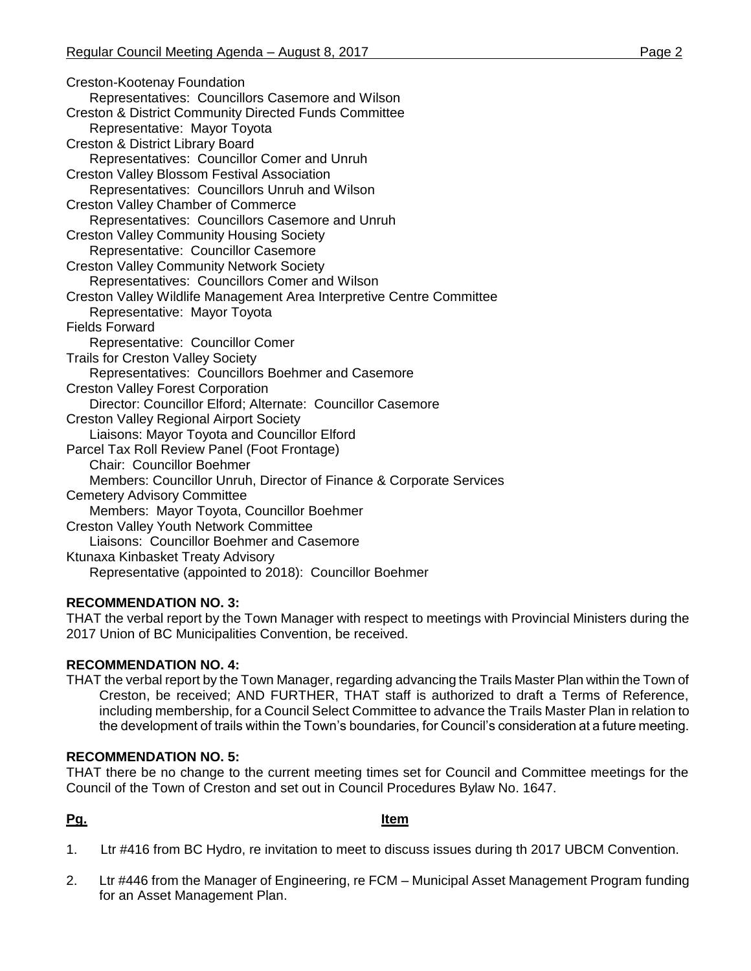Creston-Kootenay Foundation Representatives: Councillors Casemore and Wilson Creston & District Community Directed Funds Committee Representative: Mayor Toyota Creston & District Library Board Representatives: Councillor Comer and Unruh Creston Valley Blossom Festival Association Representatives: Councillors Unruh and Wilson Creston Valley Chamber of Commerce Representatives: Councillors Casemore and Unruh Creston Valley Community Housing Society Representative: Councillor Casemore Creston Valley Community Network Society Representatives: Councillors Comer and Wilson Creston Valley Wildlife Management Area Interpretive Centre Committee Representative: Mayor Toyota Fields Forward Representative: Councillor Comer Trails for Creston Valley Society Representatives: Councillors Boehmer and Casemore Creston Valley Forest Corporation Director: Councillor Elford; Alternate: Councillor Casemore Creston Valley Regional Airport Society Liaisons: Mayor Toyota and Councillor Elford Parcel Tax Roll Review Panel (Foot Frontage) Chair: Councillor Boehmer Members: Councillor Unruh, Director of Finance & Corporate Services Cemetery Advisory Committee Members: Mayor Toyota, Councillor Boehmer Creston Valley Youth Network Committee Liaisons: Councillor Boehmer and Casemore Ktunaxa Kinbasket Treaty Advisory Representative (appointed to 2018): Councillor Boehmer

# **RECOMMENDATION NO. 3:**

THAT the verbal report by the Town Manager with respect to meetings with Provincial Ministers during the 2017 Union of BC Municipalities Convention, be received.

# **RECOMMENDATION NO. 4:**

THAT the verbal report by the Town Manager, regarding advancing the Trails Master Plan within the Town of Creston, be received; AND FURTHER, THAT staff is authorized to draft a Terms of Reference, including membership, for a Council Select Committee to advance the Trails Master Plan in relation to the development of trails within the Town's boundaries, for Council's consideration at a future meeting.

# **RECOMMENDATION NO. 5:**

THAT there be no change to the current meeting times set for Council and Committee meetings for the Council of the Town of Creston and set out in Council Procedures Bylaw No. 1647.

# **Pg. Item**

- 1. Ltr #416 from BC Hydro, re invitation to meet to discuss issues during th 2017 UBCM Convention.
- 2. Ltr #446 from the Manager of Engineering, re FCM Municipal Asset Management Program funding for an Asset Management Plan.